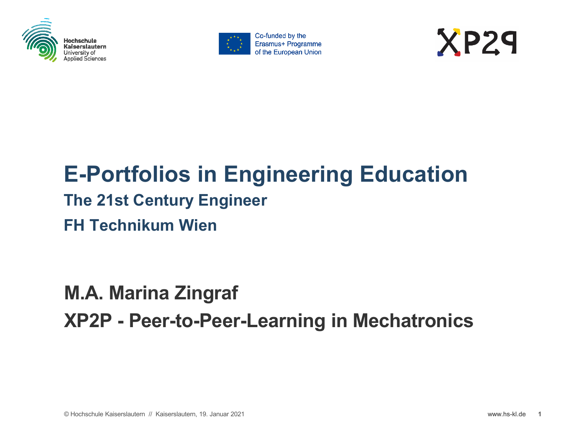





### **E-Portfolios in Engineering Education The 21st Century Engineer FH Technikum Wien**

### **M.A. Marina Zingraf XP2P - Peer-to-Peer-Learning in Mechatronics**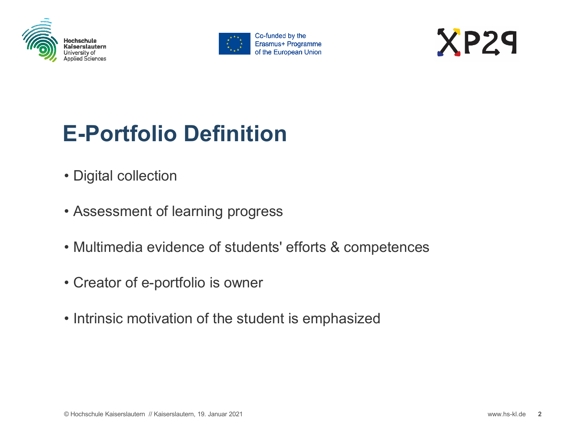





### **E-Portfolio Definition**

- Digital collection
- Assessment of learning progress
- Multimedia evidence of students' efforts & competences
- Creator of e-portfolio is owner
- Intrinsic motivation of the student is emphasized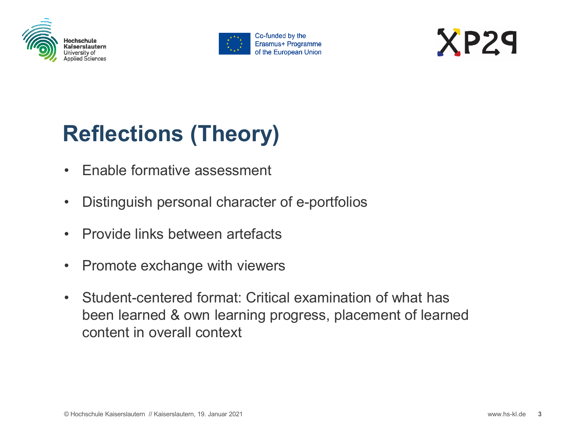





## **Reflections (Theory)**

- Enable formative assessment
- Distinguish personal character of e-portfolios
- Provide links between artefacts
- Promote exchange with viewers
- Student-centered format: Critical examination of what has been learned & own learning progress, placement of learned content in overall context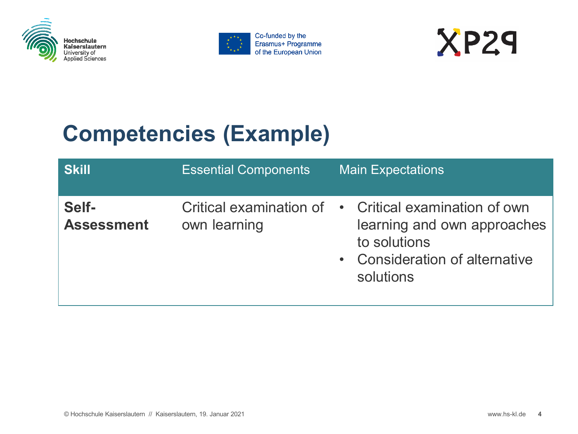





### **Competencies (Example)**

| <b>Skill</b>               | <b>Essential Components</b> | <b>Main Expectations</b>                                                                                                                            |
|----------------------------|-----------------------------|-----------------------------------------------------------------------------------------------------------------------------------------------------|
| Self-<br><b>Assessment</b> | own learning                | Critical examination of • Critical examination of own<br>learning and own approaches<br>to solutions<br>• Consideration of alternative<br>solutions |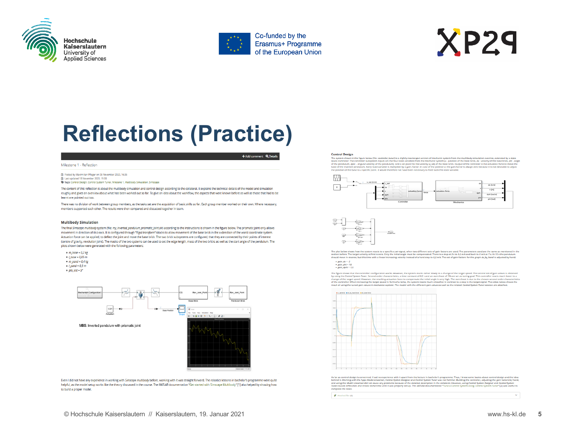



# $XP29$

### **Reflections (Practice)**

### + Add comment Q Details

Milestone 1 - Reflection

Posted by Maximilian Pfleger on 05 November 2020, 16:35 尚 Last updated 18 November 2020, 15:00 Tags: Control Design, Control System Tuner, Milesone 1, Multibody Simulation, Simscape

The content of this reflection is about the multibody simulation and control design according to the collateral. It explains the technical details of the model and simulation roughly and gives an overview about what has been worked out so far. To give an idea about the workflow, the aspects that were known before as well as those that had to be learnt are pointed out too.

There was no division of work between group members, as the tasks set are the acquisition of basic skills so far. Each group member worked on their own. Where necessary, members supported each other. The results were then compared and discussed together in team.

### **Multibody Simulation**

The final Simscape multibody system (file: my\_inverted\_pendulum\_prismatic\_joint.sk) according to the instructions is shown in the figure below. The prismatic joint only allows movement in direction of its z-axis. It is configured through "Rigid transform"-blocks to allow movement of the base brick in the x-direction of the world coordinate system. Actuation force can be applied, to deflect the joint and move the base brick. The two brick subsystems are configured, that they are connected by their points of interest (centre of gravity, revolution joint). The masks of the two systems can be used to set the edge length, mass of the two bricks as well as the start angle of the pendulum. The plots shown below were generated with the following parameters:





Even I did not have any experience in working with Simscape multibody before, working with it was straight forward. The robotics lessons in bachelor's programme were quite helpful, as the model setup works like the theory discussed in the course. The MATLAB documentation "Get started with Simscape Multibody" [1] also helped by showing how to build a proper model.

### **Control Design**

Control to the propose the materials and the state of the proposed which of mediate priors from the radioad principle and the state of the state of the state of the state of the state of the state of the state of the state the position of the base to a specific point. It would therefore not have been necessary to feed back this state variable





The plot below shows how the system reacts to a specific v\_set-signal, when two different sets of gain factors are used. The parameters used are the same as mentione<br>section before. The target wilochy at first in exchange .<br>Head buy his mot

 $\begin{aligned} & \bullet \; gain\_dx = \cdot 2 \\ & \bullet \; gain\_phi = 18 \\ & \bullet \; gain\_dphi = 1.5 \end{aligned}$ 

 $\theta$  Atlached files (6)

The figure shows that the controller configuration works. However, the system reacts rather slowly to a change of the target speed. The second set of gain-values is<br>by using the Control speem funer, second order characteri arrevanues is unnamen<br>acts much faster to a ent gal



As for as control design, is concerned, that in experiments that the main that the first state and control of the main of the main of the main of the state of the design and the state of the state of the design and the sta complete the tasks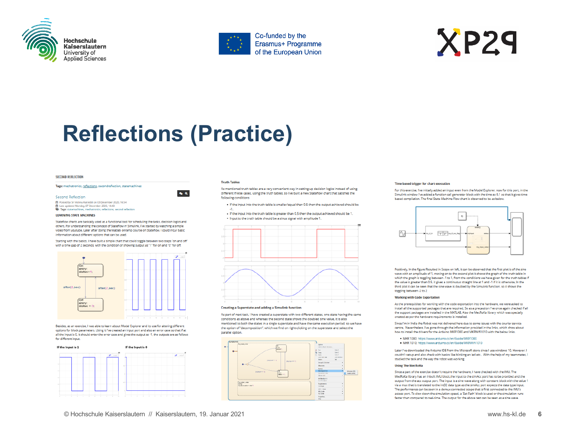





### **Reflections (Practice)**

 $\bullet$   $\circ$ 

### **SECOND REFLECTION**

### Tags: mechatronics, reflections, secondreflection, statemachines

### Second Reflection

Posted by Sri Vishnu Katreddi on 03 December 2020, 16:54 Last updated Monday, 07 December 2020, 14:43 Tags: statemachines, mechatronics, reflections, second reflection

### **LEARNING STATE MACHINES**

Stateflow charts are basically used as a functional tool for scheduling the tasks, decision logics and others, For understanding the concept of Stateflow in Simulink, I've started by watching a simple video from youtube. Later after doing the Matlab onramp course on Stateflow, I could incur basic information about different options that can be used.

Starting with the basics, I have built a simple chart that could toggle between two steps "on and off" with a time gap of 2 seconds, with the condition of showing output as "1" for on and "0" for off.



Besides, as an exercise, I was able to learn about Model Explorer and its use for altering different options for block parameters. Using it I've created an input port and also an error case so that if at all the input is 0, it should enter the error case and gives the output as -1, the outputs are as follows for different input.



### **Truth Tables**

As mentioned truth tables are a very convenient way in setting up decision logics instead of using different if/else cases, using the truth tables, so I've built a new Stateflow chart that satisfies the following conditions

- . If the input into the truth table is smaller/equal than 0.5 then the output achieved should be  $-1$
- . If the input into the truth table is greater than 0.5 then the output achieved should be 1. . Input to the truth table should be a sinus signal with amplitude 1.



As part of next task, I have created a superstate with two different states, one state having the same conditions as above and whereas the second state shows the doubled sine value, it is also mentioned to both the states in a single superstate and have the same execution period, so we have the option of "decomposition", which we find on right-clicking on the superstate and select the parallel option



### Time based trigger for chart execution

For this exercise. I've initially added an input even from the Model Explorer, now for this port, in the Simulink window I've added a function call generator block with the time as 0.1 so that it gives time based compilation. The final State Machine Flow chart is observed to be as below.



Positively, In the figure Resulted in Scope on left, it can be observed that the first plot is of the sine wave with an amplitude of 1, moving on to the second plot it shows the graph of the truth table in which the graph is toggling between -1 to 1, from the conditions we have given for the truth tables if the value is greater than 0.5, it gives a continuous straight line at 1 and -1 if it is otherwise, In the third plot it can be seen that the sine wave is doubled by the Simulink function, so it shows the toggling between -2 to 2

### **Working with Code Exportation**

As the prerequisites for working with the code exportation into the hardware, we were asked to install all the supported packages that are required. So as a precaution I've once again checked if all the support packages are installed in the MATLAB, Also the MecRoKa library which was specially created as per the hardware requirements is installed.

Since I'm in India the Robot was not delivered here due to some issues with the courier service centre, Nevertheless, I've gone through the information provided in the links, which show about how to install the drivers for the Arduino MKR1000 and MKRWifi1010 with the below links.

· MKR 1000: https://www.arduino.cc/en/Guide/MKR1000 · MKR 1010: https://www.arduino.cc/en/Guide/MKRWiFi1010

Later I've downloaded the Arduino IDE from the Microsoft store since I use windows 10, However, I couldn't setup and also check with basics like blinking an led etc., With the help of my teammates, I studied the task and the way the robot was working.

### **Using The MecRoKa**

Since a part of the exercise doesn't require the hardware, I have checked with the IMU. The MecRoKa library has an inbuilt IMU block, the input to the simAcc port has to be provided and the output from the acc output port. The input is a sine wave along with constant block with the value 1 via a mux that is translated to the int32 data type as the simAcc port expects the data type input. The performance can be seen in a demux connected scope that is first connected to the IMU's access port. To slow down the simulation speed, a 'Set Path' block is used or the simulation runs faster than compared to real-time. The output for the above test can be seen as a sine wave.